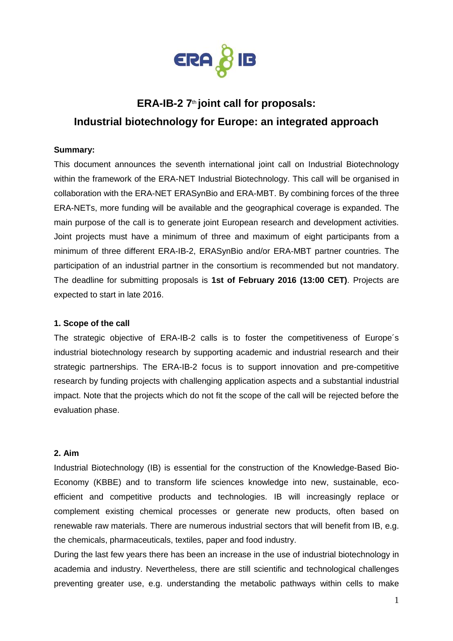

# **ERA-IB-2 7** th **joint call for proposals: Industrial biotechnology for Europe: an integrated approach**

#### **Summary:**

This document announces the seventh international joint call on Industrial Biotechnology within the framework of the ERA-NET Industrial Biotechnology. This call will be organised in collaboration with the ERA-NET ERASynBio and ERA-MBT. By combining forces of the three ERA-NETs, more funding will be available and the geographical coverage is expanded. The main purpose of the call is to generate joint European research and development activities. Joint projects must have a minimum of three and maximum of eight participants from a minimum of three different ERA-IB-2, ERASynBio and/or ERA-MBT partner countries. The participation of an industrial partner in the consortium is recommended but not mandatory. The deadline for submitting proposals is **1st of February 2016 (13:00 CET)**. Projects are expected to start in late 2016.

#### **1. Scope of the call**

The strategic objective of ERA-IB-2 calls is to foster the competitiveness of Europe´s industrial biotechnology research by supporting academic and industrial research and their strategic partnerships. The ERA-IB-2 focus is to support innovation and pre-competitive research by funding projects with challenging application aspects and a substantial industrial impact. Note that the projects which do not fit the scope of the call will be rejected before the evaluation phase.

#### **2. Aim**

Industrial Biotechnology (IB) is essential for the construction of the Knowledge-Based Bio-Economy (KBBE) and to transform life sciences knowledge into new, sustainable, ecoefficient and competitive products and technologies. IB will increasingly replace or complement existing chemical processes or generate new products, often based on renewable raw materials. There are numerous industrial sectors that will benefit from IB, e.g. the chemicals, pharmaceuticals, textiles, paper and food industry.

During the last few years there has been an increase in the use of industrial biotechnology in academia and industry. Nevertheless, there are still scientific and technological challenges preventing greater use, e.g. understanding the metabolic pathways within cells to make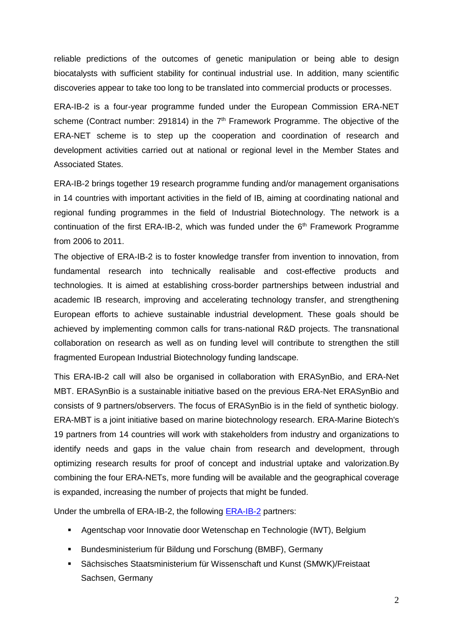reliable predictions of the outcomes of genetic manipulation or being able to design biocatalysts with sufficient stability for continual industrial use. In addition, many scientific discoveries appear to take too long to be translated into commercial products or processes.

ERA-IB-2 is a four-year programme funded under the European Commission ERA-NET scheme (Contract number: 291814) in the  $7<sup>th</sup>$  Framework Programme. The objective of the ERA-NET scheme is to step up the cooperation and coordination of research and development activities carried out at national or regional level in the Member States and Associated States.

ERA-IB-2 brings together 19 research programme funding and/or management organisations in 14 countries with important activities in the field of IB, aiming at coordinating national and regional funding programmes in the field of Industrial Biotechnology. The network is a continuation of the first ERA-IB-2, which was funded under the  $6<sup>th</sup>$  Framework Programme from 2006 to 2011.

The objective of ERA-IB-2 is to foster knowledge transfer from invention to innovation, from fundamental research into technically realisable and cost-effective products and technologies. It is aimed at establishing cross-border partnerships between industrial and academic IB research, improving and accelerating technology transfer, and strengthening European efforts to achieve sustainable industrial development. These goals should be achieved by implementing common calls for trans-national R&D projects. The transnational collaboration on research as well as on funding level will contribute to strengthen the still fragmented European Industrial Biotechnology funding landscape.

This ERA-IB-2 call will also be organised in collaboration with ERASynBio, and ERA-Net MBT. ERASynBio is a sustainable initiative based on the previous ERA-Net ERASynBio and consists of 9 partners/observers. The focus of ERASynBio is in the field of synthetic biology. ERA-MBT is a joint initiative based on marine biotechnology research. ERA-Marine Biotech's 19 partners from 14 countries will work with stakeholders from industry and organizations to identify needs and gaps in the value chain from research and development, through optimizing research results for proof of concept and industrial uptake and valorization.By combining the four ERA-NETs, more funding will be available and the geographical coverage is expanded, increasing the number of projects that might be funded.

Under the umbrella of ERA-IB-2, the following [ERA-IB-2](http://www.era-ib.net/) partners:

- Agentschap voor Innovatie door Wetenschap en Technologie (IWT), Belgium
- **Bundesministerium für Bildung und Forschung (BMBF), Germany**
- Sächsisches Staatsministerium für Wissenschaft und Kunst (SMWK)/Freistaat Sachsen, Germany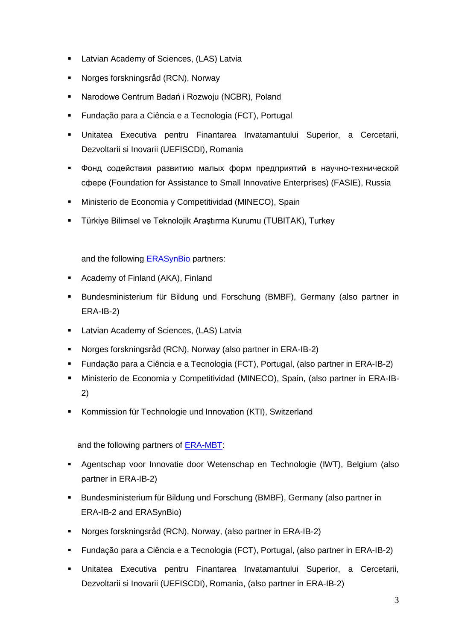- **E.** Latvian Academy of Sciences, (LAS) Latvia
- Norges forskningsråd (RCN), Norway
- Narodowe Centrum Badań i Rozwoju (NCBR), Poland
- Fundação para a Ciência e a Tecnologia (FCT), Portugal
- Unitatea Executiva pentru Finantarea Invatamantului Superior, a Cercetarii, Dezvoltarii si Inovarii (UEFISCDI), Romania
- Фонд содействия развитию малых форм предприятий в научно-технической сфере (Foundation for Assistance to Small Innovative Enterprises) (FASIE), Russia
- **Ministerio de Economia y Competitividad (MINECO), Spain**
- Türkiye Bilimsel ve Teknolojik Araştırma Kurumu (TUBITAK), Turkey

and the following **ERASynBio** partners:

- Academy of Finland (AKA), Finland
- **Bundesministerium für Bildung und Forschung (BMBF), Germany (also partner in** ERA-IB-2)
- **EXEC** Latvian Academy of Sciences, (LAS) Latvia
- Norges forskningsråd (RCN), Norway (also partner in ERA-IB-2)
- Fundação para a Ciência e a Tecnologia (FCT), Portugal, (also partner in ERA-IB-2)
- Ministerio de Economia y Competitividad (MINECO), Spain, (also partner in ERA-IB-2)
- **Kommission für Technologie und Innovation (KTI), Switzerland**

and the following partners of [ERA-MBT:](http://www.marinebiotech.eu/marine-biotechnology-era-net)

- Agentschap voor Innovatie door Wetenschap en Technologie (IWT), Belgium (also partner in ERA-IB-2)
- Bundesministerium für Bildung und Forschung (BMBF), Germany (also partner in ERA-IB-2 and ERASynBio)
- Norges forskningsråd (RCN), Norway, (also partner in ERA-IB-2)
- Fundação para a Ciência e a Tecnologia (FCT), Portugal, (also partner in ERA-IB-2)
- Unitatea Executiva pentru Finantarea Invatamantului Superior, a Cercetarii, Dezvoltarii si Inovarii (UEFISCDI), Romania, (also partner in ERA-IB-2)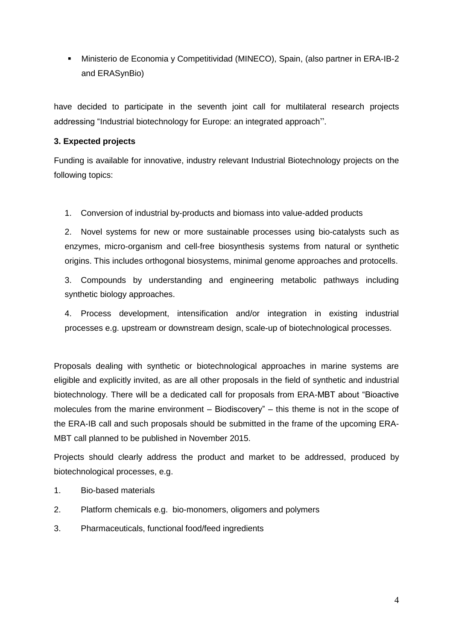Ministerio de Economia y Competitividad (MINECO), Spain, (also partner in ERA-IB-2 and ERASynBio)

have decided to participate in the seventh joint call for multilateral research projects addressing "Industrial biotechnology for Europe: an integrated approach".

## **3. Expected projects**

Funding is available for innovative, industry relevant Industrial Biotechnology projects on the following topics:

1. Conversion of industrial by-products and biomass into value-added products

2. Novel systems for new or more sustainable processes using bio-catalysts such as enzymes, micro-organism and cell-free biosynthesis systems from natural or synthetic origins. This includes orthogonal biosystems, minimal genome approaches and protocells.

3. Compounds by understanding and engineering metabolic pathways including synthetic biology approaches.

4. Process development, intensification and/or integration in existing industrial processes e.g. upstream or downstream design, scale-up of biotechnological processes.

Proposals dealing with synthetic or biotechnological approaches in marine systems are eligible and explicitly invited, as are all other proposals in the field of synthetic and industrial biotechnology. There will be a dedicated call for proposals from ERA-MBT about "Bioactive molecules from the marine environment – Biodiscovery" – this theme is not in the scope of the ERA-IB call and such proposals should be submitted in the frame of the upcoming ERA-MBT call planned to be published in November 2015.

Projects should clearly address the product and market to be addressed, produced by biotechnological processes, e.g.

- 1. Bio-based materials
- 2. Platform chemicals e.g. bio-monomers, oligomers and polymers
- 3. Pharmaceuticals, functional food/feed ingredients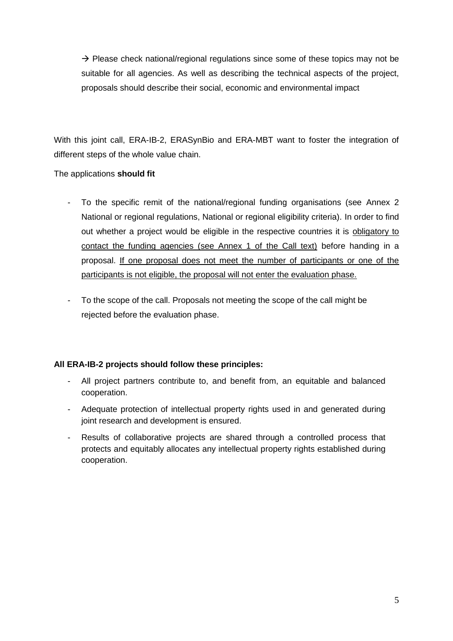$\rightarrow$  Please check national/regional regulations since some of these topics may not be suitable for all agencies. As well as describing the technical aspects of the project, proposals should describe their social, economic and environmental impact

With this joint call, ERA-IB-2, ERASynBio and ERA-MBT want to foster the integration of different steps of the whole value chain.

The applications **should fit**

- To the specific remit of the national/regional funding organisations (see Annex 2 National or regional regulations, National or regional eligibility criteria). In order to find out whether a project would be eligible in the respective countries it is obligatory to contact the funding agencies (see Annex 1 of the Call text) before handing in a proposal. If one proposal does not meet the number of participants or one of the participants is not eligible, the proposal will not enter the evaluation phase.
- To the scope of the call. Proposals not meeting the scope of the call might be rejected before the evaluation phase.

#### **All ERA-IB-2 projects should follow these principles:**

- All project partners contribute to, and benefit from, an equitable and balanced cooperation.
- Adequate protection of intellectual property rights used in and generated during joint research and development is ensured.
- Results of collaborative projects are shared through a controlled process that protects and equitably allocates any intellectual property rights established during cooperation.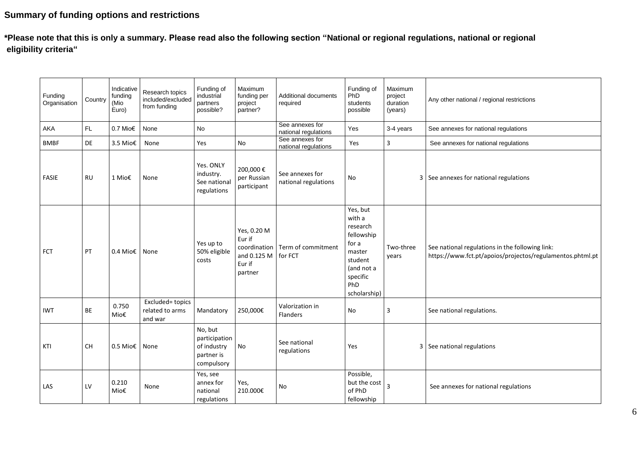# **Summary of funding options and restrictions**

**\*Please note that this is only a summary. Please read also the following section "National or regional regulations, national or regional eligibility criteria"**

| Funding<br>Organisation | Country   | Indicative<br>funding<br>(Mio<br>Euro) | Research topics<br>included/excluded<br>from funding | Funding of<br>industrial<br>partners<br>possible?                   | Maximum<br>funding per<br>project<br>partner?                             | Additional documents<br>required        | Funding of<br>PhD<br>students<br>possible                                                                                   | Maximum<br>project<br>duration<br>(years) | Any other national / regional restrictions                                                                   |  |
|-------------------------|-----------|----------------------------------------|------------------------------------------------------|---------------------------------------------------------------------|---------------------------------------------------------------------------|-----------------------------------------|-----------------------------------------------------------------------------------------------------------------------------|-------------------------------------------|--------------------------------------------------------------------------------------------------------------|--|
| AKA                     | <b>FL</b> | 0.7 Mio€                               | None                                                 | No                                                                  |                                                                           | See annexes for<br>national regulations | Yes                                                                                                                         | 3-4 years                                 | See annexes for national regulations                                                                         |  |
| <b>BMBF</b>             | DE        | 3.5 Mio€                               | None                                                 | Yes                                                                 | $\mathsf{No}$                                                             | See annexes for<br>national regulations | Yes                                                                                                                         | $\mathbf{3}$                              | See annexes for national regulations                                                                         |  |
| <b>FASIE</b>            | <b>RU</b> | 1 Mio€                                 | None                                                 | Yes. ONLY<br>industry.<br>See national<br>regulations               | 200,000€<br>per Russian<br>participant                                    | See annexes for<br>national regulations | <b>No</b>                                                                                                                   |                                           | 3 See annexes for national regulations                                                                       |  |
| <b>FCT</b>              | PT        | $0.4$ Mio $\epsilon$                   | None                                                 | Yes up to<br>50% eligible<br>costs                                  | Yes, 0.20 M<br>Eur if<br>coordination<br>and 0.125 M<br>Eur if<br>partner | Term of commitment<br>for FCT           | Yes, but<br>with a<br>research<br>fellowship<br>for a<br>master<br>student<br>(and not a<br>specific<br>PhD<br>scholarship) | Two-three<br>years                        | See national regulations in the following link:<br>https://www.fct.pt/apoios/projectos/regulamentos.phtml.pt |  |
| <b>IWT</b>              | BE        | 0.750<br>Mio€                          | Excluded= topics<br>related to arms<br>and war       | Mandatory                                                           | 250,000€                                                                  | Valorization in<br><b>Flanders</b>      | No                                                                                                                          | 3                                         | See national regulations.                                                                                    |  |
| KTI                     | <b>CH</b> | $0.5$ Mio $\epsilon$                   | None                                                 | No, but<br>participation<br>of industry<br>partner is<br>compulsory | No                                                                        | See national<br>regulations             | Yes                                                                                                                         |                                           | 3 See national regulations                                                                                   |  |
| LAS                     | LV        | 0.210<br>Mio€                          | None                                                 | Yes, see<br>annex for<br>national<br>regulations                    | Yes,<br>210.000€                                                          | No                                      | Possible,<br>but the cost<br>of PhD<br>fellowship                                                                           | $\overline{3}$                            | See annexes for national regulations                                                                         |  |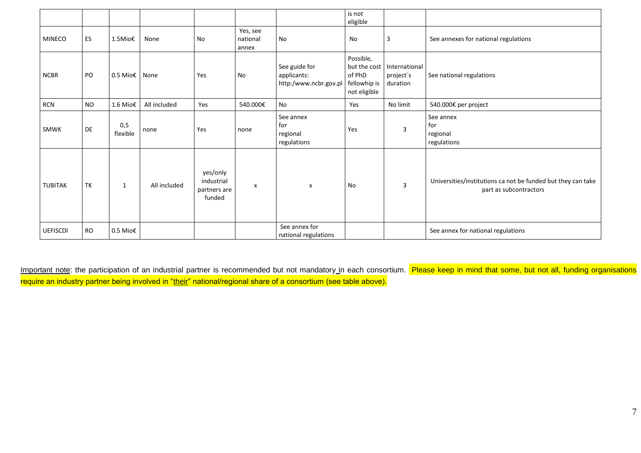|                 |           |                      |              |                                                  |                               |                                                       | is not<br>eligible                                                  |                                        |                                                                                        |
|-----------------|-----------|----------------------|--------------|--------------------------------------------------|-------------------------------|-------------------------------------------------------|---------------------------------------------------------------------|----------------------------------------|----------------------------------------------------------------------------------------|
| <b>MINECO</b>   | ES        | 1.5Mio€              | None         | <b>No</b>                                        | Yes, see<br>national<br>annex | No                                                    | No                                                                  | 3                                      | See annexes for national regulations                                                   |
| <b>NCBR</b>     | PO        | 0.5 Mio€ None        |              | Yes                                              | No                            | See guide for<br>applicants:<br>http:/www.ncbr.gov.pl | Possible,<br>but the cost<br>of PhD<br>fellowhip is<br>not eligible | International<br>project's<br>duration | See national regulations                                                               |
| <b>RCN</b>      | <b>NO</b> | 1.6 Mio€             | All included | Yes                                              | 540.000€                      | No                                                    | Yes                                                                 | No limit                               | 540.000€ per project                                                                   |
| SMWK            | DE        | 0,5<br>flexible      | none         | Yes                                              | none                          | See annex<br>for<br>regional<br>regulations           | Yes                                                                 | 3                                      | See annex<br>for<br>regional<br>regulations                                            |
| <b>TUBITAK</b>  | TK        | $\mathbf{1}$         | All included | yes/only<br>industrial<br>partners are<br>funded | X                             | X                                                     | No                                                                  | $\overline{3}$                         | Universities/institutions ca not be funded but they can take<br>part as subcontractors |
| <b>UEFISCDI</b> | <b>RO</b> | $0.5$ Mio $\epsilon$ |              |                                                  |                               | See annex for<br>national regulations                 |                                                                     |                                        | See annex for national regulations                                                     |

Important note: the participation of an industrial partner is recommended but not mandatory in each consortium. Please keep in mind that some, but not all, funding organisations require an industry partner being involved in "their" national/regional share of a consortium (see table above).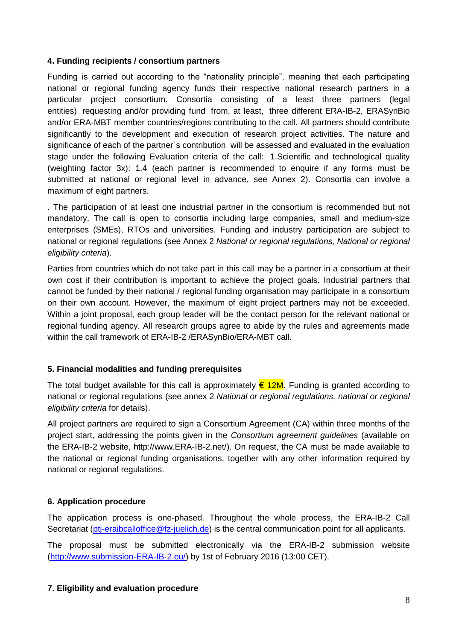#### **4. Funding recipients / consortium partners**

Funding is carried out according to the "nationality principle", meaning that each participating national or regional funding agency funds their respective national research partners in a particular project consortium. Consortia consisting of a least three partners (legal entities) requesting and/or providing fund from, at least, three different ERA-IB-2, ERASynBio and/or ERA-MBT member countries/regions contributing to the call. All partners should contribute significantly to the development and execution of research project activities. The nature and significance of each of the partner´s contribution will be assessed and evaluated in the evaluation stage under the following Evaluation criteria of the call: 1.Scientific and technological quality (weighting factor 3x): 1.4 (each partner is recommended to enquire if any forms must be submitted at national or regional level in advance, see Annex 2). Consortia can involve a maximum of eight partners.

. The participation of at least one industrial partner in the consortium is recommended but not mandatory. The call is open to consortia including large companies, small and medium-size enterprises (SMEs), RTOs and universities. Funding and industry participation are subject to national or regional regulations (see Annex 2 *National or regional regulations, National or regional eligibility criteria*).

Parties from countries which do not take part in this call may be a partner in a consortium at their own cost if their contribution is important to achieve the project goals. Industrial partners that cannot be funded by their national / regional funding organisation may participate in a consortium on their own account. However, the maximum of eight project partners may not be exceeded. Within a joint proposal, each group leader will be the contact person for the relevant national or regional funding agency. All research groups agree to abide by the rules and agreements made within the call framework of ERA-IB-2 /ERASynBio/ERA-MBT call.

#### **5. Financial modalities and funding prerequisites**

The total budget available for this call is approximately  $\epsilon$  12M. Funding is granted according to national or regional regulations (see annex 2 *National or regional regulations, national or regional eligibility criteria* for details).

All project partners are required to sign a Consortium Agreement (CA) within three months of the project start, addressing the points given in the *Consortium agreement guidelines* (available on the ERA-IB-2 website, http://www.ERA-IB-2.net/). On request, the CA must be made available to the national or regional funding organisations, together with any other information required by national or regional regulations.

#### **6. Application procedure**

The application process is one-phased. Throughout the whole process, the ERA-IB-2 Call Secretariat (pti-eraibcalloffice@fz-juelich.de) is the central communication point for all applicants.

The proposal must be submitted electronically via the ERA-IB-2 submission website [\(http://www.submission-ERA-IB-2.eu/\)](http://www.submission-era-ib.eu/) by 1st of February 2016 (13:00 CET).

#### **7. Eligibility and evaluation procedure**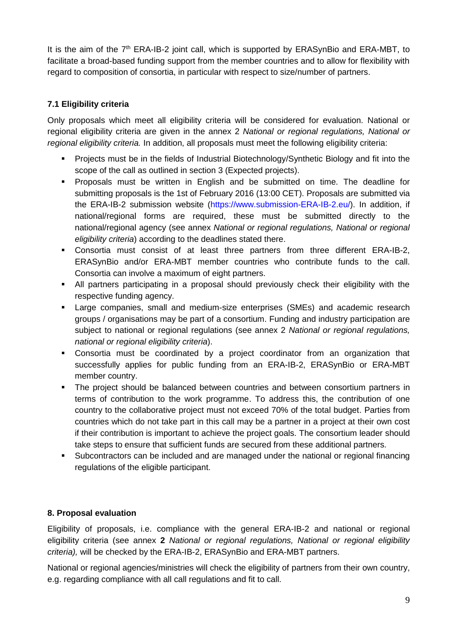It is the aim of the 7<sup>th</sup> ERA-IB-2 joint call, which is supported by ERASynBio and ERA-MBT, to facilitate a broad-based funding support from the member countries and to allow for flexibility with regard to composition of consortia, in particular with respect to size/number of partners.

# **7.1 Eligibility criteria**

Only proposals which meet all eligibility criteria will be considered for evaluation. National or regional eligibility criteria are given in the annex 2 *National or regional regulations, National or regional eligibility criteria.* In addition, all proposals must meet the following eligibility criteria:

- **Projects must be in the fields of Industrial Biotechnology/Synthetic Biology and fit into the** scope of the call as outlined in section 3 (Expected projects).
- Proposals must be written in English and be submitted on time. The deadline for submitting proposals is the 1st of February 2016 (13:00 CET). Proposals are submitted via the ERA-IB-2 submission website [\(https://www.submission-ERA-IB-2.eu/\)](https://www.submission-era-ib.eu/). In addition, if national/regional forms are required, these must be submitted directly to the national/regional agency (see annex *National or regional regulations, National or regional eligibility criteria*) according to the deadlines stated there.
- Consortia must consist of at least three partners from three different ERA-IB-2, ERASynBio and/or ERA-MBT member countries who contribute funds to the call. Consortia can involve a maximum of eight partners.
- All partners participating in a proposal should previously check their eligibility with the respective funding agency.
- Large companies, small and medium-size enterprises (SMEs) and academic research groups / organisations may be part of a consortium. Funding and industry participation are subject to national or regional regulations (see annex 2 *National or regional regulations, national or regional eligibility criteria*).
- Consortia must be coordinated by a project coordinator from an organization that successfully applies for public funding from an ERA-IB-2, ERASynBio or ERA-MBT member country.
- The project should be balanced between countries and between consortium partners in terms of contribution to the work programme. To address this, the contribution of one country to the collaborative project must not exceed 70% of the total budget. Parties from countries which do not take part in this call may be a partner in a project at their own cost if their contribution is important to achieve the project goals. The consortium leader should take steps to ensure that sufficient funds are secured from these additional partners.
- Subcontractors can be included and are managed under the national or regional financing regulations of the eligible participant.

# **8. Proposal evaluation**

Eligibility of proposals, i.e. compliance with the general ERA-IB-2 and national or regional eligibility criteria (see annex **2** *National or regional regulations, National or regional eligibility criteria),* will be checked by the ERA-IB-2, ERASynBio and ERA-MBT partners.

National or regional agencies/ministries will check the eligibility of partners from their own country, e.g. regarding compliance with all call regulations and fit to call.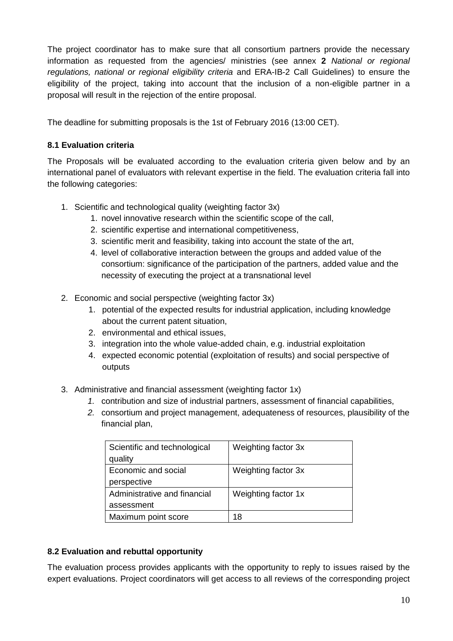The project coordinator has to make sure that all consortium partners provide the necessary information as requested from the agencies/ ministries (see annex **2** *National or regional regulations, national or regional eligibility criteria* and ERA-IB-2 Call Guidelines) to ensure the eligibility of the project, taking into account that the inclusion of a non-eligible partner in a proposal will result in the rejection of the entire proposal.

The deadline for submitting proposals is the 1st of February 2016 (13:00 CET).

## **8.1 Evaluation criteria**

The Proposals will be evaluated according to the evaluation criteria given below and by an international panel of evaluators with relevant expertise in the field. The evaluation criteria fall into the following categories:

- 1. Scientific and technological quality (weighting factor 3x)
	- 1. novel innovative research within the scientific scope of the call,
	- 2. scientific expertise and international competitiveness,
	- 3. scientific merit and feasibility, taking into account the state of the art,
	- 4. level of collaborative interaction between the groups and added value of the consortium: significance of the participation of the partners, added value and the necessity of executing the project at a transnational level
- 2. Economic and social perspective (weighting factor 3x)
	- 1. potential of the expected results for industrial application, including knowledge about the current patent situation,
	- 2. environmental and ethical issues,
	- 3. integration into the whole value-added chain, e.g. industrial exploitation
	- 4. expected economic potential (exploitation of results) and social perspective of outputs
- 3. Administrative and financial assessment (weighting factor 1x)
	- *1.* contribution and size of industrial partners, assessment of financial capabilities,
	- *2.* consortium and project management, adequateness of resources, plausibility of the financial plan,

| Scientific and technological | Weighting factor 3x |
|------------------------------|---------------------|
| quality                      |                     |
| Economic and social          | Weighting factor 3x |
| perspective                  |                     |
| Administrative and financial | Weighting factor 1x |
| assessment                   |                     |
| Maximum point score          | 18                  |

#### **8.2 Evaluation and rebuttal opportunity**

The evaluation process provides applicants with the opportunity to reply to issues raised by the expert evaluations. Project coordinators will get access to all reviews of the corresponding project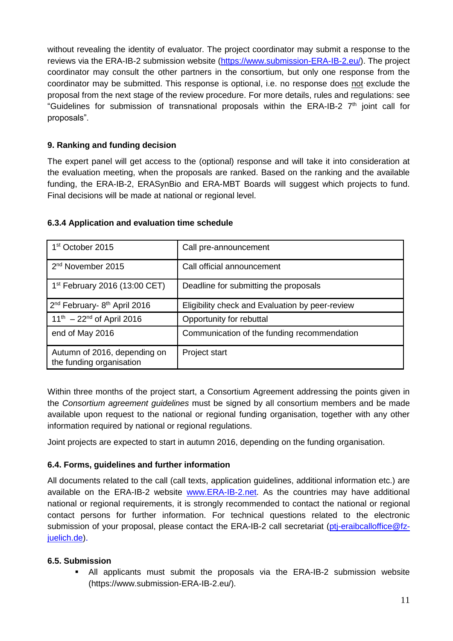without revealing the identity of evaluator. The project coordinator may submit a response to the reviews via the ERA-IB-2 submission website [\(https://www.submission-ERA-IB-2.eu/\)](https://www.submission-era-ib.eu/). The project coordinator may consult the other partners in the consortium, but only one response from the coordinator may be submitted. This response is optional, i.e. no response does not exclude the proposal from the next stage of the review procedure. For more details, rules and regulations: see "Guidelines for submission of transnational proposals within the ERA-IB-2 7<sup>th</sup> joint call for proposals".

## **9. Ranking and funding decision**

The expert panel will get access to the (optional) response and will take it into consideration at the evaluation meeting, when the proposals are ranked. Based on the ranking and the available funding, the ERA-IB-2, ERASynBio and ERA-MBT Boards will suggest which projects to fund. Final decisions will be made at national or regional level.

| 1 <sup>st</sup> October 2015                             | Call pre-announcement                           |
|----------------------------------------------------------|-------------------------------------------------|
| 2 <sup>nd</sup> November 2015                            | Call official announcement                      |
| 1 <sup>st</sup> February 2016 (13:00 CET)                | Deadline for submitting the proposals           |
| 2 <sup>nd</sup> February- 8 <sup>th</sup> April 2016     | Eligibility check and Evaluation by peer-review |
| $11^{th} - 22^{nd}$ of April 2016                        | Opportunity for rebuttal                        |
| end of May 2016                                          | Communication of the funding recommendation     |
| Autumn of 2016, depending on<br>the funding organisation | Project start                                   |

#### **6.3.4 Application and evaluation time schedule**

Within three months of the project start, a Consortium Agreement addressing the points given in the *Consortium agreement guidelines* must be signed by all consortium members and be made available upon request to the national or regional funding organisation, together with any other information required by national or regional regulations.

Joint projects are expected to start in autumn 2016, depending on the funding organisation.

#### **6.4. Forms, guidelines and further information**

All documents related to the call (call texts, application guidelines, additional information etc.) are available on the ERA-IB-2 website [www.ERA-IB-2.net.](http://www.era-ib.net/) As the countries may have additional national or regional requirements, it is strongly recommended to contact the national or regional contact persons for further information. For technical questions related to the electronic submission of your proposal, please contact the ERA-IB-2 call secretariat (pti-eraibcalloffice@fz[juelich.de\)](mailto:ptj-eraibcalloffice@fz-juelich.de).

#### **6.5. Submission**

 All applicants must submit the proposals via the ERA-IB-2 submission website (https://www.submission-ERA-IB-2.eu/).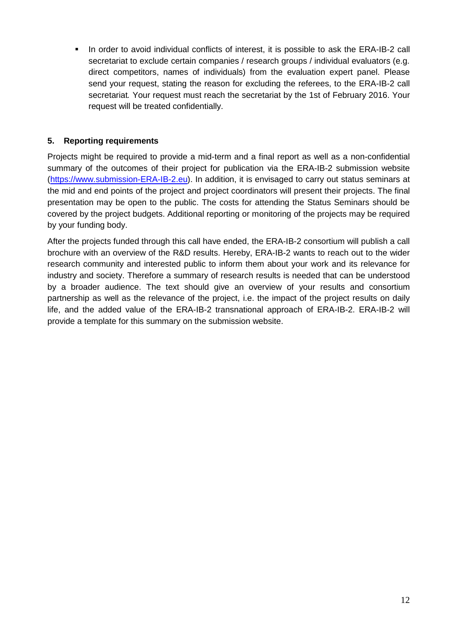In order to avoid individual conflicts of interest, it is possible to ask the ERA-IB-2 call secretariat to exclude certain companies / research groups / individual evaluators (e.g. direct competitors, names of individuals) from the evaluation expert panel. Please send your request, stating the reason for excluding the referees, to the ERA-IB-2 call secretariat*.* Your request must reach the secretariat by the 1st of February 2016. Your request will be treated confidentially.

## **5. Reporting requirements**

Projects might be required to provide a mid-term and a final report as well as a non-confidential summary of the outcomes of their project for publication via the ERA-IB-2 submission website [\(https://www.submission-ERA-IB-2.eu\)](https://www.submission-era-ib.eu/). In addition, it is envisaged to carry out status seminars at the mid and end points of the project and project coordinators will present their projects. The final presentation may be open to the public. The costs for attending the Status Seminars should be covered by the project budgets. Additional reporting or monitoring of the projects may be required by your funding body.

After the projects funded through this call have ended, the ERA-IB-2 consortium will publish a call brochure with an overview of the R&D results. Hereby, ERA-IB-2 wants to reach out to the wider research community and interested public to inform them about your work and its relevance for industry and society. Therefore a summary of research results is needed that can be understood by a broader audience. The text should give an overview of your results and consortium partnership as well as the relevance of the project, i.e. the impact of the project results on daily life, and the added value of the ERA-IB-2 transnational approach of ERA-IB-2. ERA-IB-2 will provide a template for this summary on the submission website.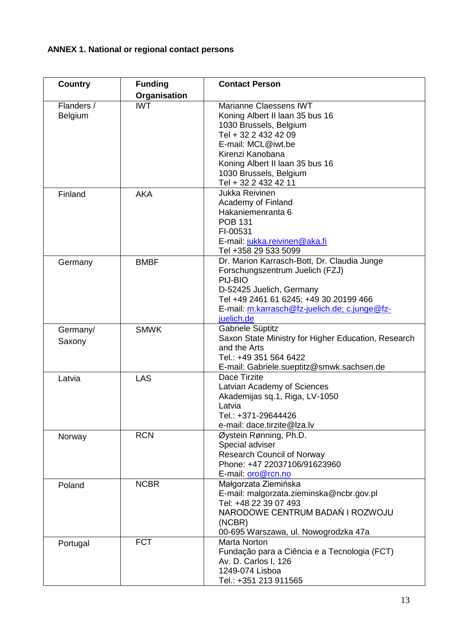# **ANNEX 1. National or regional contact persons**

| <b>Country</b>        | <b>Funding</b> | <b>Contact Person</b>                                                                                                                                                                                                                      |
|-----------------------|----------------|--------------------------------------------------------------------------------------------------------------------------------------------------------------------------------------------------------------------------------------------|
|                       | Organisation   |                                                                                                                                                                                                                                            |
| Flanders /<br>Belgium | <b>IWT</b>     | Marianne Claessens IWT<br>Koning Albert II laan 35 bus 16<br>1030 Brussels, Belgium<br>Tel + 32 2 432 42 09<br>E-mail: MCL@iwt.be<br>Kirenzi Kanobana<br>Koning Albert II laan 35 bus 16<br>1030 Brussels, Belgium<br>Tel + 32 2 432 42 11 |
| Finland               | <b>AKA</b>     | Jukka Reivinen<br>Academy of Finland<br>Hakaniemenranta 6<br><b>POB 131</b><br>FI-00531<br>E-mail: jukka.reivinen@aka.fi<br>Tel +358 29 533 5099                                                                                           |
| Germany               | <b>BMBF</b>    | Dr. Marion Karrasch-Bott, Dr. Claudia Junge<br>Forschungszentrum Juelich (FZJ)<br>PtJ-BIO<br>D-52425 Juelich, Germany<br>Tel +49 2461 61 6245; +49 30 20199 466<br>E-mail: m.karrasch@fz-juelich.de; c.junge@fz-<br>juelich.de             |
| Germany/<br>Saxony    | <b>SMWK</b>    | Gabriele Süptitz<br>Saxon State Ministry for Higher Education, Research<br>and the Arts<br>Tel.: +49 351 564 6422<br>E-mail: Gabriele.sueptitz@smwk.sachsen.de                                                                             |
| Latvia                | <b>LAS</b>     | Dace Tirzite<br>Latvian Academy of Sciences<br>Akademijas sq.1, Riga, LV-1050<br>Latvia<br>Tel.: +371-29644426<br>e-mail: dace.tirzite@lza.lv                                                                                              |
| Norway                | <b>RCN</b>     | Øystein Rønning, Ph.D.<br>Special adviser<br><b>Research Council of Norway</b><br>Phone: +47 22037106/91623960<br>E-mail: oro@rcn.no                                                                                                       |
| Poland                | <b>NCBR</b>    | Małgorzata Ziemińska<br>E-mail: malgorzata.zieminska@ncbr.gov.pl<br>Tel: +48 22 39 07 493<br>NARODOWE CENTRUM BADAŃ I ROZWOJU<br>(NCBR)<br>00-695 Warszawa, ul. Nowogrodzka 47a                                                            |
| Portugal              | <b>FCT</b>     | Marta Norton<br>Fundação para a Ciência e a Tecnologia (FCT)<br>Av. D. Carlos I, 126<br>1249-074 Lisboa<br>Tel.: +351 213 911565                                                                                                           |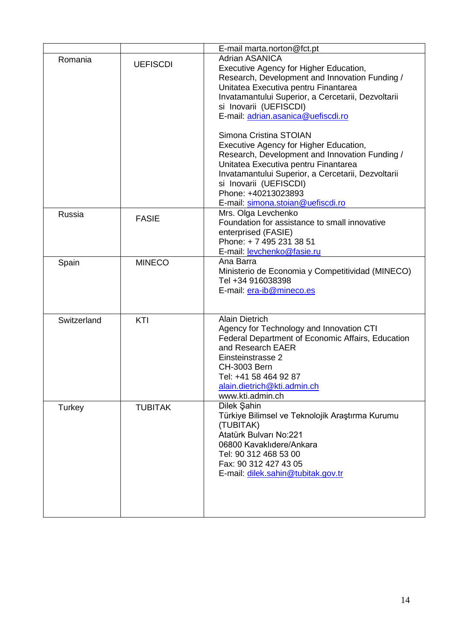|               |                 | E-mail marta.norton@fct.pt                         |
|---------------|-----------------|----------------------------------------------------|
| Romania       |                 | <b>Adrian ASANICA</b>                              |
|               | <b>UEFISCDI</b> | Executive Agency for Higher Education,             |
|               |                 | Research, Development and Innovation Funding /     |
|               |                 | Unitatea Executiva pentru Finantarea               |
|               |                 | Invatamantului Superior, a Cercetarii, Dezvoltarii |
|               |                 | si Inovarii (UEFISCDI)                             |
|               |                 | E-mail: adrian.asanica@uefiscdi.ro                 |
|               |                 |                                                    |
|               |                 | Simona Cristina STOIAN                             |
|               |                 | Executive Agency for Higher Education,             |
|               |                 |                                                    |
|               |                 | Research, Development and Innovation Funding /     |
|               |                 | Unitatea Executiva pentru Finantarea               |
|               |                 | Invatamantului Superior, a Cercetarii, Dezvoltarii |
|               |                 | si Inovarii (UEFISCDI)                             |
|               |                 | Phone: +40213023893                                |
|               |                 | E-mail: simona.stoian@uefiscdi.ro                  |
| <b>Russia</b> | <b>FASIE</b>    | Mrs. Olga Levchenko                                |
|               |                 | Foundation for assistance to small innovative      |
|               |                 | enterprised (FASIE)                                |
|               |                 | Phone: +7 495 231 38 51                            |
|               |                 | E-mail: levchenko@fasie.ru                         |
| Spain         | <b>MINECO</b>   | Ana Barra                                          |
|               |                 | Ministerio de Economia y Competitividad (MINECO)   |
|               |                 | Tel +34 916038398                                  |
|               |                 | E-mail: era-ib@mineco.es                           |
|               |                 |                                                    |
|               |                 |                                                    |
| Switzerland   | KTI             | <b>Alain Dietrich</b>                              |
|               |                 | Agency for Technology and Innovation CTI           |
|               |                 | Federal Department of Economic Affairs, Education  |
|               |                 | and Research EAER                                  |
|               |                 | Einsteinstrasse 2                                  |
|               |                 | CH-3003 Bern                                       |
|               |                 | Tel: +41 58 464 92 87                              |
|               |                 | alain.dietrich@kti.admin.ch                        |
|               |                 | www.kti.admin.ch                                   |
| Turkey        | <b>TUBITAK</b>  | Dilek Şahin                                        |
|               |                 | Türkiye Bilimsel ve Teknolojik Araştırma Kurumu    |
|               |                 | (TUBITAK)                                          |
|               |                 | Atatürk Bulvarı No:221                             |
|               |                 | 06800 Kavaklıdere/Ankara                           |
|               |                 | Tel: 90 312 468 53 00                              |
|               |                 | Fax: 90 312 427 43 05                              |
|               |                 | E-mail: dilek.sahin@tubitak.gov.tr                 |
|               |                 |                                                    |
|               |                 |                                                    |
|               |                 |                                                    |
|               |                 |                                                    |
|               |                 |                                                    |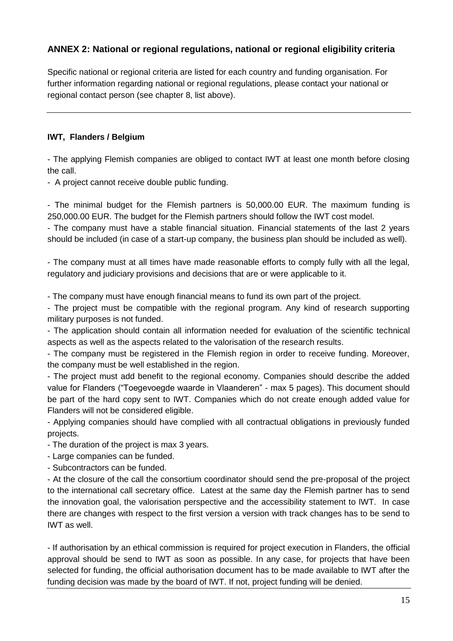# **ANNEX 2: National or regional regulations, national or regional eligibility criteria**

Specific national or regional criteria are listed for each country and funding organisation. For further information regarding national or regional regulations, please contact your national or regional contact person (see chapter 8, list above).

## **IWT, Flanders / Belgium**

- The applying Flemish companies are obliged to contact IWT at least one month before closing the call.

- A project cannot receive double public funding.

- The minimal budget for the Flemish partners is 50,000.00 EUR. The maximum funding is 250,000.00 EUR. The budget for the Flemish partners should follow the IWT cost model.

- The company must have a stable financial situation. Financial statements of the last 2 years should be included (in case of a start-up company, the business plan should be included as well).

- The company must at all times have made reasonable efforts to comply fully with all the legal, regulatory and judiciary provisions and decisions that are or were applicable to it.

- The company must have enough financial means to fund its own part of the project.

- The project must be compatible with the regional program. Any kind of research supporting military purposes is not funded.

- The application should contain all information needed for evaluation of the scientific technical aspects as well as the aspects related to the valorisation of the research results.

- The company must be registered in the Flemish region in order to receive funding. Moreover, the company must be well established in the region.

- The project must add benefit to the regional economy. Companies should describe the added value for Flanders ("Toegevoegde waarde in Vlaanderen" - max 5 pages). This document should be part of the hard copy sent to IWT. Companies which do not create enough added value for Flanders will not be considered eligible.

- Applying companies should have complied with all contractual obligations in previously funded projects.

- The duration of the project is max 3 years.

- Large companies can be funded.

- Subcontractors can be funded.

- At the closure of the call the consortium coordinator should send the pre-proposal of the project to the international call secretary office. Latest at the same day the Flemish partner has to send the innovation goal, the valorisation perspective and the accessibility statement to IWT. In case there are changes with respect to the first version a version with track changes has to be send to IWT as well.

- If authorisation by an ethical commission is required for project execution in Flanders, the official approval should be send to IWT as soon as possible. In any case, for projects that have been selected for funding, the official authorisation document has to be made available to IWT after the funding decision was made by the board of IWT. If not, project funding will be denied.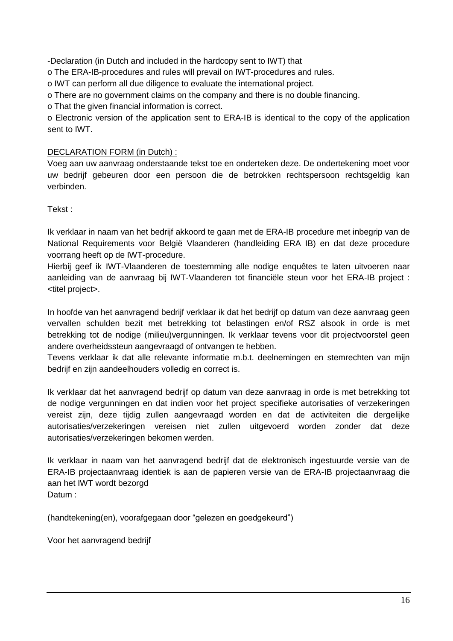-Declaration (in Dutch and included in the hardcopy sent to IWT) that

o The ERA-IB-procedures and rules will prevail on IWT-procedures and rules.

o IWT can perform all due diligence to evaluate the international project.

o There are no government claims on the company and there is no double financing.

o That the given financial information is correct.

o Electronic version of the application sent to ERA-IB is identical to the copy of the application sent to IWT.

#### DECLARATION FORM (in Dutch) :

Voeg aan uw aanvraag onderstaande tekst toe en onderteken deze. De ondertekening moet voor uw bedrijf gebeuren door een persoon die de betrokken rechtspersoon rechtsgeldig kan verbinden.

Tekst :

Ik verklaar in naam van het bedrijf akkoord te gaan met de ERA-IB procedure met inbegrip van de National Requirements voor België Vlaanderen (handleiding ERA IB) en dat deze procedure voorrang heeft op de IWT-procedure.

Hierbij geef ik IWT-Vlaanderen de toestemming alle nodige enquêtes te laten uitvoeren naar aanleiding van de aanvraag bij IWT-Vlaanderen tot financiële steun voor het ERA-IB project : <titel project>.

In hoofde van het aanvragend bedrijf verklaar ik dat het bedrijf op datum van deze aanvraag geen vervallen schulden bezit met betrekking tot belastingen en/of RSZ alsook in orde is met betrekking tot de nodige (milieu)vergunningen. Ik verklaar tevens voor dit projectvoorstel geen andere overheidssteun aangevraagd of ontvangen te hebben.

Tevens verklaar ik dat alle relevante informatie m.b.t. deelnemingen en stemrechten van mijn bedrijf en zijn aandeelhouders volledig en correct is.

Ik verklaar dat het aanvragend bedrijf op datum van deze aanvraag in orde is met betrekking tot de nodige vergunningen en dat indien voor het project specifieke autorisaties of verzekeringen vereist zijn, deze tijdig zullen aangevraagd worden en dat de activiteiten die dergelijke autorisaties/verzekeringen vereisen niet zullen uitgevoerd worden zonder dat deze autorisaties/verzekeringen bekomen werden.

Ik verklaar in naam van het aanvragend bedrijf dat de elektronisch ingestuurde versie van de ERA-IB projectaanvraag identiek is aan de papieren versie van de ERA-IB projectaanvraag die aan het IWT wordt bezorgd Datum :

(handtekening(en), voorafgegaan door "gelezen en goedgekeurd")

Voor het aanvragend bedrijf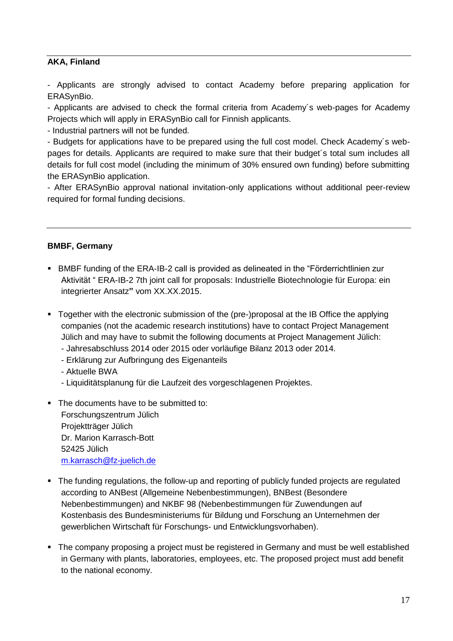## **AKA, Finland**

- Applicants are strongly advised to contact Academy before preparing application for ERASynBio.

- Applicants are advised to check the formal criteria from Academy´s web-pages for Academy Projects which will apply in ERASynBio call for Finnish applicants.

- Industrial partners will not be funded.

- Budgets for applications have to be prepared using the full cost model. Check Academy´s webpages for details. Applicants are required to make sure that their budget´s total sum includes all details for full cost model (including the minimum of 30% ensured own funding) before submitting the ERASynBio application.

- After ERASynBio approval national invitation-only applications without additional peer-review required for formal funding decisions.

#### **BMBF, Germany**

- BMBF funding of the ERA-IB-2 call is provided as delineated in the "Förderrichtlinien zur Aktivität " ERA-IB-2 7th joint call for proposals: Industrielle Biotechnologie für Europa: ein integrierter Ansatz**"** vom XX.XX.2015.
- **Together with the electronic submission of the (pre-)proposal at the IB Office the applying** companies (not the academic research institutions) have to contact Project Management Jülich and may have to submit the following documents at Project Management Jülich:
	- Jahresabschluss 2014 oder 2015 oder vorläufige Bilanz 2013 oder 2014.
	- Erklärung zur Aufbringung des Eigenanteils
	- Aktuelle BWA
	- Liquiditätsplanung für die Laufzeit des vorgeschlagenen Projektes.
- The documents have to be submitted to: Forschungszentrum Jülich Projektträger Jülich Dr. Marion Karrasch-Bott 52425 Jülich [m.karrasch@fz-juelich.de](mailto:m.karrasch@fz-juelich.de)
- The funding regulations, the follow-up and reporting of publicly funded projects are regulated according to ANBest (Allgemeine Nebenbestimmungen), BNBest (Besondere Nebenbestimmungen) and NKBF 98 (Nebenbestimmungen für Zuwendungen auf Kostenbasis des Bundesministeriums für Bildung und Forschung an Unternehmen der gewerblichen Wirtschaft für Forschungs- und Entwicklungsvorhaben).
- The company proposing a project must be registered in Germany and must be well established in Germany with plants, laboratories, employees, etc. The proposed project must add benefit to the national economy.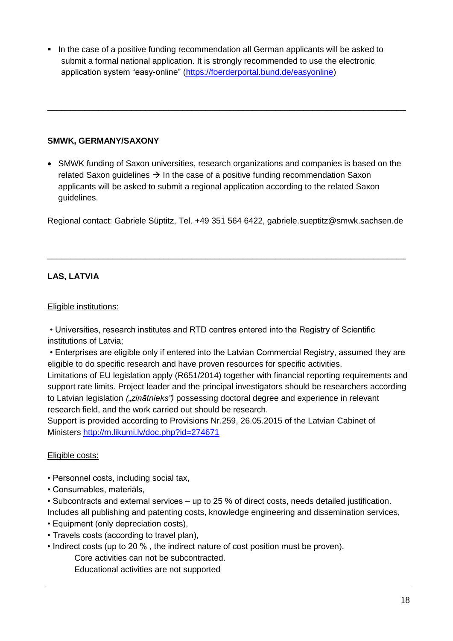In the case of a positive funding recommendation all German applicants will be asked to submit a formal national application. It is strongly recommended to use the electronic application system "easy-online" [\(https://foerderportal.bund.de/easyo](https://foerderportal.bund.de/easy/)nline)

## **SMWK, GERMANY/SAXONY**

 SMWK funding of Saxon universities, research organizations and companies is based on the related Saxon guidelines  $\rightarrow$  In the case of a positive funding recommendation Saxon applicants will be asked to submit a regional application according to the related Saxon guidelines.

\_\_\_\_\_\_\_\_\_\_\_\_\_\_\_\_\_\_\_\_\_\_\_\_\_\_\_\_\_\_\_\_\_\_\_\_\_\_\_\_\_\_\_\_\_\_\_\_\_\_\_\_\_\_\_\_\_\_\_\_\_\_\_\_\_\_\_\_\_\_\_\_\_\_\_\_\_

Regional contact: Gabriele Süptitz, Tel. +49 351 564 6422, gabriele.sueptitz@smwk.sachsen.de

\_\_\_\_\_\_\_\_\_\_\_\_\_\_\_\_\_\_\_\_\_\_\_\_\_\_\_\_\_\_\_\_\_\_\_\_\_\_\_\_\_\_\_\_\_\_\_\_\_\_\_\_\_\_\_\_\_\_\_\_\_\_\_\_\_\_\_\_\_\_\_\_\_\_\_\_\_

# **LAS, LATVIA**

#### Eligible institutions:

• Universities, research institutes and RTD centres entered into the Registry of Scientific institutions of Latvia;

• Enterprises are eligible only if entered into the Latvian Commercial Registry, assumed they are eligible to do specific research and have proven resources for specific activities.

Limitations of EU legislation apply (R651/2014) together with financial reporting requirements and support rate limits. Project leader and the principal investigators should be researchers according to Latvian legislation *("zinātnieks")* possessing doctoral degree and experience in relevant research field, and the work carried out should be research.

Support is provided according to Provisions Nr.259, 26.05.2015 of the Latvian Cabinet of Ministers<http://m.likumi.lv/doc.php?id=274671>

#### Eligible costs:

- Personnel costs, including social tax,
- Consumables, materiāls,
- Subcontracts and external services up to 25 % of direct costs, needs detailed justification.

Includes all publishing and patenting costs, knowledge engineering and dissemination services,

- Equipment (only depreciation costs),
- Travels costs (according to travel plan),
- Indirect costs (up to 20 % , the indirect nature of cost position must be proven). Core activities can not be subcontracted. Educational activities are not supported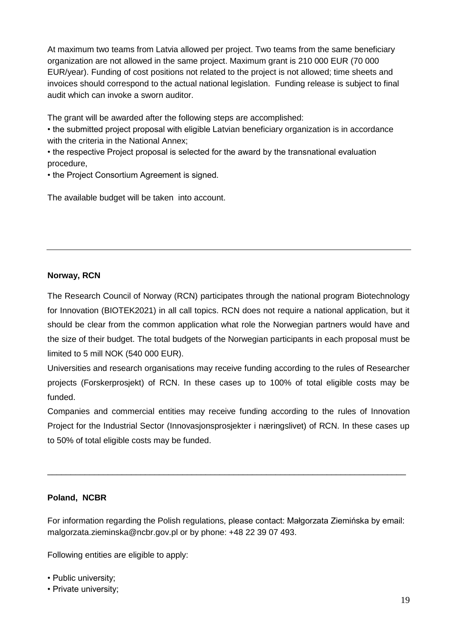At maximum two teams from Latvia allowed per project. Two teams from the same beneficiary organization are not allowed in the same project. Maximum grant is 210 000 EUR (70 000 EUR/year). Funding of cost positions not related to the project is not allowed; time sheets and invoices should correspond to the actual national legislation. Funding release is subject to final audit which can invoke a sworn auditor.

The grant will be awarded after the following steps are accomplished:

• the submitted project proposal with eligible Latvian beneficiary organization is in accordance with the criteria in the National Annex:

• the respective Project proposal is selected for the award by the transnational evaluation procedure,

• the Project Consortium Agreement is signed.

The available budget will be taken into account.

#### **Norway, RCN**

The Research Council of Norway (RCN) participates through the national program Biotechnology for Innovation (BIOTEK2021) in all call topics. RCN does not require a national application, but it should be clear from the common application what role the Norwegian partners would have and the size of their budget. The total budgets of the Norwegian participants in each proposal must be limited to 5 mill NOK (540 000 EUR).

Universities and research organisations may receive funding according to the rules of Researcher projects (Forskerprosjekt) of RCN. In these cases up to 100% of total eligible costs may be funded.

Companies and commercial entities may receive funding according to the rules of Innovation Project for the Industrial Sector (Innovasjonsprosjekter i næringslivet) of RCN. In these cases up to 50% of total eligible costs may be funded.

#### **Poland, NCBR**

For information regarding the Polish regulations, please contact: Małgorzata Ziemińska by email: malgorzata.zieminska@ncbr.gov.pl or by phone: +48 22 39 07 493.

\_\_\_\_\_\_\_\_\_\_\_\_\_\_\_\_\_\_\_\_\_\_\_\_\_\_\_\_\_\_\_\_\_\_\_\_\_\_\_\_\_\_\_\_\_\_\_\_\_\_\_\_\_\_\_\_\_\_\_\_\_\_\_\_\_\_\_\_\_\_\_\_\_\_\_\_\_

Following entities are eligible to apply:

- Public university;
- Private university;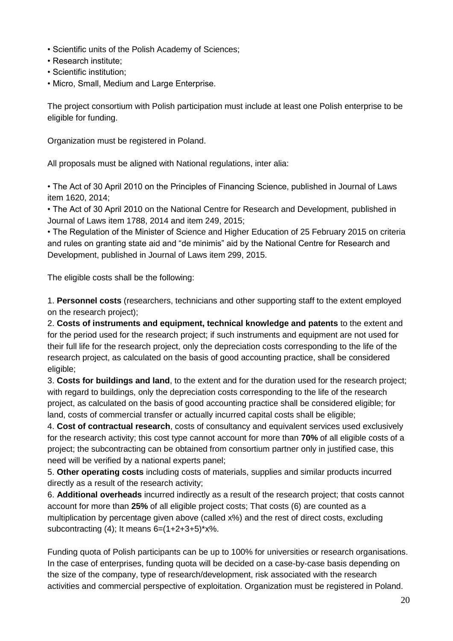- Scientific units of the Polish Academy of Sciences;
- Research institute;
- Scientific institution;
- Micro, Small, Medium and Large Enterprise.

The project consortium with Polish participation must include at least one Polish enterprise to be eligible for funding.

Organization must be registered in Poland.

All proposals must be aligned with National regulations, inter alia:

• The Act of 30 April 2010 on the Principles of Financing Science, published in Journal of Laws item 1620, 2014;

• The Act of 30 April 2010 on the National Centre for Research and Development, published in Journal of Laws item 1788, 2014 and item 249, 2015;

• The Regulation of the Minister of Science and Higher Education of 25 February 2015 on criteria and rules on granting state aid and "de minimis" aid by the National Centre for Research and Development, published in Journal of Laws item 299, 2015.

The eligible costs shall be the following:

1. **Personnel costs** (researchers, technicians and other supporting staff to the extent employed on the research project);

2. **Costs of instruments and equipment, technical knowledge and patents** to the extent and for the period used for the research project; if such instruments and equipment are not used for their full life for the research project, only the depreciation costs corresponding to the life of the research project, as calculated on the basis of good accounting practice, shall be considered eligible;

3. **Costs for buildings and land**, to the extent and for the duration used for the research project; with regard to buildings, only the depreciation costs corresponding to the life of the research project, as calculated on the basis of good accounting practice shall be considered eligible; for land, costs of commercial transfer or actually incurred capital costs shall be eligible;

4. **Cost of contractual research**, costs of consultancy and equivalent services used exclusively for the research activity; this cost type cannot account for more than **70%** of all eligible costs of a project; the subcontracting can be obtained from consortium partner only in justified case, this need will be verified by a national experts panel;

5. **Other operating costs** including costs of materials, supplies and similar products incurred directly as a result of the research activity;

6. **Additional overheads** incurred indirectly as a result of the research project; that costs cannot account for more than **25%** of all eligible project costs; That costs (6) are counted as a multiplication by percentage given above (called x%) and the rest of direct costs, excluding subcontracting  $(4)$ ; It means  $6=(1+2+3+5)*x%$ .

Funding quota of Polish participants can be up to 100% for universities or research organisations. In the case of enterprises, funding quota will be decided on a case-by-case basis depending on the size of the company, type of research/development, risk associated with the research activities and commercial perspective of exploitation. Organization must be registered in Poland.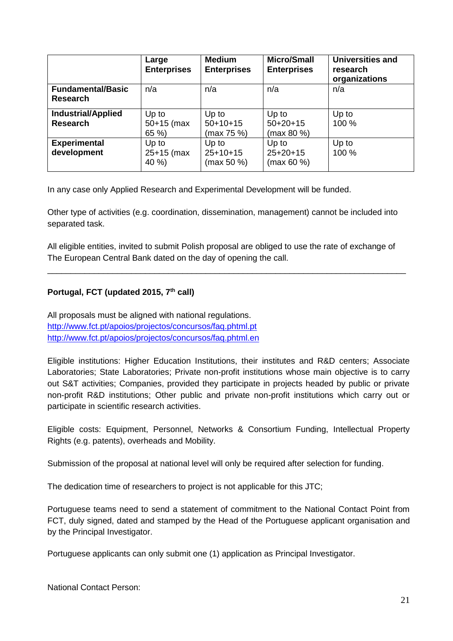|                           | Large<br><b>Enterprises</b> | <b>Medium</b><br><b>Enterprises</b> | <b>Micro/Small</b><br><b>Enterprises</b> | <b>Universities and</b><br>research<br>organizations |
|---------------------------|-----------------------------|-------------------------------------|------------------------------------------|------------------------------------------------------|
| <b>Fundamental/Basic</b>  | n/a                         | n/a                                 | n/a                                      | n/a                                                  |
| <b>Research</b>           |                             |                                     |                                          |                                                      |
| <b>Industrial/Applied</b> | Up to                       | Up to                               | Up to                                    | Up to                                                |
| <b>Research</b>           | $50+15$ (max                | $50+10+15$                          | $50+20+15$                               | 100 %                                                |
|                           | 65 %)                       | (max 75 %)                          | (max 80 %                                |                                                      |
| <b>Experimental</b>       | Up to                       | Up to                               | Up to                                    | Up to                                                |
| development               | $25+15$ (max                | $25+10+15$                          | $25+20+15$                               | 100 %                                                |
|                           | 40 %)                       | (max 50 %)                          | (max 60 %                                |                                                      |

In any case only Applied Research and Experimental Development will be funded.

Other type of activities (e.g. coordination, dissemination, management) cannot be included into separated task.

All eligible entities, invited to submit Polish proposal are obliged to use the rate of exchange of The European Central Bank dated on the day of opening the call.

\_\_\_\_\_\_\_\_\_\_\_\_\_\_\_\_\_\_\_\_\_\_\_\_\_\_\_\_\_\_\_\_\_\_\_\_\_\_\_\_\_\_\_\_\_\_\_\_\_\_\_\_\_\_\_\_\_\_\_\_\_\_\_\_\_\_\_\_\_\_\_\_\_\_\_\_\_

## **Portugal, FCT (updated 2015, 7th call)**

All proposals must be aligned with national regulations. <http://www.fct.pt/apoios/projectos/concursos/faq.phtml.pt> <http://www.fct.pt/apoios/projectos/concursos/faq.phtml.en>

Eligible institutions: Higher Education Institutions, their institutes and R&D centers; Associate Laboratories; State Laboratories; Private non-profit institutions whose main objective is to carry out S&T activities; Companies, provided they participate in projects headed by public or private non-profit R&D institutions; Other public and private non-profit institutions which carry out or participate in scientific research activities.

Eligible costs: Equipment, Personnel, Networks & Consortium Funding, Intellectual Property Rights (e.g. patents), overheads and Mobility.

Submission of the proposal at national level will only be required after selection for funding.

The dedication time of researchers to project is not applicable for this JTC;

Portuguese teams need to send a statement of commitment to the National Contact Point from FCT, duly signed, dated and stamped by the Head of the Portuguese applicant organisation and by the Principal Investigator.

Portuguese applicants can only submit one (1) application as Principal Investigator.

National Contact Person: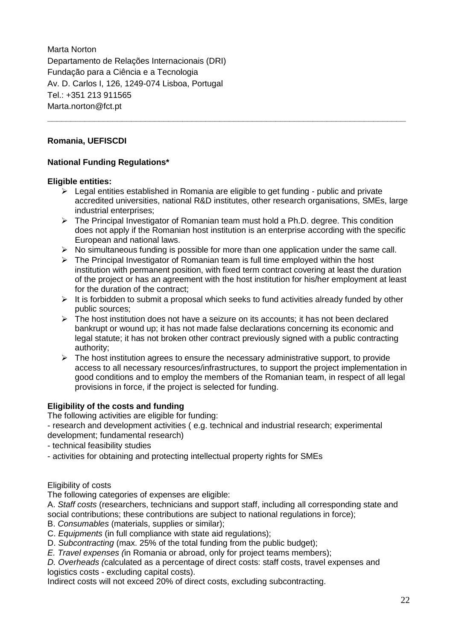Marta Norton Departamento de Relações Internacionais (DRI) Fundação para a Ciência e a Tecnologia Av. D. Carlos I, 126, 1249-074 Lisboa, Portugal Tel.: +351 213 911565 Marta.norton@fct.pt

## **Romania, UEFISCDI**

## **National Funding Regulations\***

#### **Eligible entities:**

 $\triangleright$  Legal entities established in Romania are eligible to get funding - public and private accredited universities, national R&D institutes, other research organisations, SMEs, large industrial enterprises;

**\_\_\_\_\_\_\_\_\_\_\_\_\_\_\_\_\_\_\_\_\_\_\_\_\_\_\_\_\_\_\_\_\_\_\_\_\_\_\_\_\_\_\_\_\_\_\_\_\_\_\_\_\_\_\_\_\_\_\_\_\_\_\_\_\_\_\_\_\_\_\_\_\_\_\_\_\_**

- $\triangleright$  The Principal Investigator of Romanian team must hold a Ph.D. degree. This condition does not apply if the Romanian host institution is an enterprise according with the specific European and national laws.
- $\triangleright$  No simultaneous funding is possible for more than one application under the same call.
- $\triangleright$  The Principal Investigator of Romanian team is full time employed within the host institution with permanent position, with fixed term contract covering at least the duration of the project or has an agreement with the host institution for his/her employment at least for the duration of the contract;
- $\triangleright$  It is forbidden to submit a proposal which seeks to fund activities already funded by other public sources;
- $\triangleright$  The host institution does not have a seizure on its accounts; it has not been declared bankrupt or wound up; it has not made false declarations concerning its economic and legal statute; it has not broken other contract previously signed with a public contracting authority;
- $\triangleright$  The host institution agrees to ensure the necessary administrative support, to provide access to all necessary resources/infrastructures, to support the project implementation in good conditions and to employ the members of the Romanian team, in respect of all legal provisions in force, if the project is selected for funding.

#### **Eligibility of the costs and funding**

The following activities are eligible for funding:

- research and development activities ( e.g. technical and industrial research; experimental development; fundamental research)

- technical feasibility studies
- activities for obtaining and protecting intellectual property rights for SMEs

#### Eligibility of costs

The following categories of expenses are eligible:

A. *Staff costs* (researchers, technicians and support staff, including all corresponding state and social contributions; these contributions are subject to national regulations in force);

B. *Consumables* (materials, supplies or similar);

C. *Equipments* (in full compliance with state aid regulations);

D. *Subcontracting* (max. 25% of the total funding from the public budget);

*E. Travel expenses (*in Romania or abroad, only for project teams members);

*D. Overheads (*calculated as a percentage of direct costs: staff costs, travel expenses and logistics costs - excluding capital costs).

Indirect costs will not exceed 20% of direct costs, excluding subcontracting.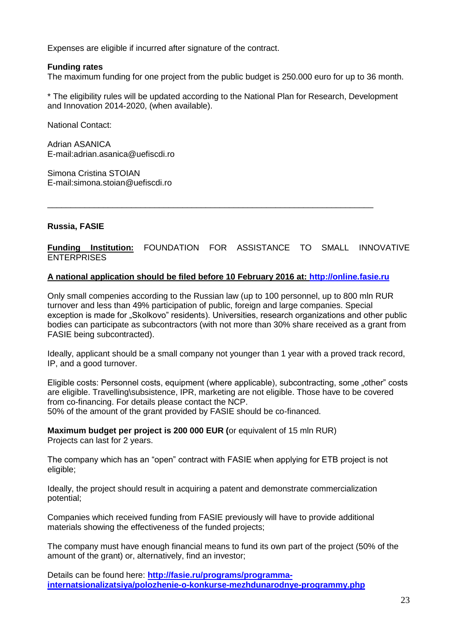Expenses are eligible if incurred after signature of the contract.

#### **Funding rates**

The maximum funding for one project from the public budget is 250.000 euro for up to 36 month.

\* The eligibility rules will be updated according to the National Plan for Research, Development and Innovation 2014-2020, (when available).

National Contact:

Adrian ASANICA E-mail:adrian.asanica@uefiscdi.ro

Simona Cristina STOIAN E-mail:simona.stoian@uefiscdi.ro

#### **Russia, FASIE**

**Funding Institution:** FOUNDATION FOR ASSISTANCE TO SMALL INNOVATIVE **ENTERPRISES** 

#### **A national application should be filed before 10 February 2016 at: [http://online.fasie.ru](http://online.fasie.ru/)**

\_\_\_\_\_\_\_\_\_\_\_\_\_\_\_\_\_\_\_\_\_\_\_\_\_\_\_\_\_\_\_\_\_\_\_\_\_\_\_\_\_\_\_\_\_\_\_\_\_\_\_\_\_\_\_\_\_\_\_\_\_\_\_\_\_\_\_\_\_\_

Only small compenies according to the Russian law (up to 100 personnel, up to 800 mln RUR turnover and less than 49% participation of public, foreign and large companies. Special exception is made for "Skolkovo" residents). Universities, research organizations and other public bodies can participate as subcontractors (with not more than 30% share received as a grant from FASIE being subcontracted).

Ideally, applicant should be a small company not younger than 1 year with a proved track record, IP, and a good turnover.

Eligible costs: Personnel costs, equipment (where applicable), subcontracting, some "other" costs are eligible. Travelling\subsistence, IPR, marketing are not eligible. Those have to be covered from co-financing. For details please contact the NCP. 50% of the amount of the grant provided by FASIE should be co-financed.

**Maximum budget per project is 200 000 EUR (**or equivalent of 15 mln RUR) Projects can last for 2 years.

The company which has an "open" contract with FASIE when applying for ETB project is not eligible;

Ideally, the project should result in acquiring a patent and demonstrate commercialization potential;

Companies which received funding from FASIE previously will have to provide additional materials showing the effectiveness of the funded projects;

The company must have enough financial means to fund its own part of the project (50% of the amount of the grant) or, alternatively, find an investor;

Details can be found here: **[http://fasie.ru/programs/programma](http://fasie.ru/programs/programma-internatsionalizatsiya/polozhenie-o-konkurse-mezhdunarodnye-programmy.php)[internatsionalizatsiya/polozhenie-o-konkurse-mezhdunarodnye-programmy.php](http://fasie.ru/programs/programma-internatsionalizatsiya/polozhenie-o-konkurse-mezhdunarodnye-programmy.php)**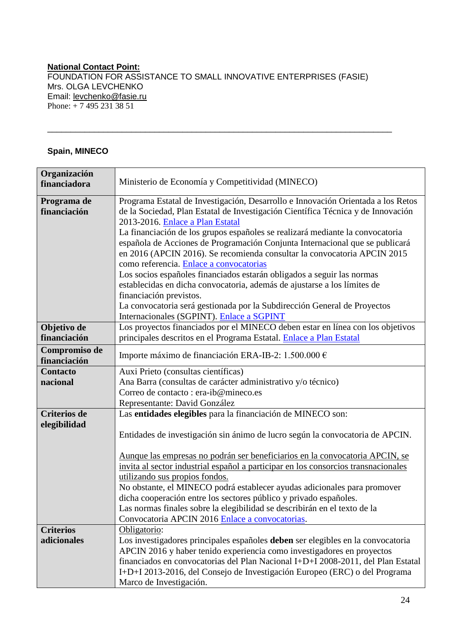#### **National Contact Point:**  FOUNDATION FOR ASSISTANCE TO SMALL INNOVATIVE ENTERPRISES (FASIE) Mrs. OLGA LEVCHENKO Email: levchenko@fasie.ru Phone: + 7 495 231 38 51

\_\_\_\_\_\_\_\_\_\_\_\_\_\_\_\_\_\_\_\_\_\_\_\_\_\_\_\_\_\_\_\_\_\_\_\_\_\_\_\_\_\_\_\_\_\_\_\_\_\_\_\_\_\_\_\_\_\_\_\_\_\_\_\_\_\_\_\_\_\_\_\_\_\_

# **Spain, MINECO**

| Organización<br>financiadora | Ministerio de Economía y Competitividad (MINECO)                                   |  |  |  |  |
|------------------------------|------------------------------------------------------------------------------------|--|--|--|--|
| Programa de                  | Programa Estatal de Investigación, Desarrollo e Innovación Orientada a los Retos   |  |  |  |  |
| financiación                 | de la Sociedad, Plan Estatal de Investigación Científica Técnica y de Innovación   |  |  |  |  |
|                              |                                                                                    |  |  |  |  |
|                              | 2013-2016. Enlace a Plan Estatal                                                   |  |  |  |  |
|                              | La financiación de los grupos españoles se realizará mediante la convocatoria      |  |  |  |  |
|                              | española de Acciones de Programación Conjunta Internacional que se publicará       |  |  |  |  |
|                              | en 2016 (APCIN 2016). Se recomienda consultar la convocatoria APCIN 2015           |  |  |  |  |
|                              | como referencia. Enlace a convocatorias                                            |  |  |  |  |
|                              | Los socios españoles financiados estarán obligados a seguir las normas             |  |  |  |  |
|                              | establecidas en dicha convocatoria, además de ajustarse a los límites de           |  |  |  |  |
|                              | financiación previstos.                                                            |  |  |  |  |
|                              | La convocatoria será gestionada por la Subdirección General de Proyectos           |  |  |  |  |
|                              | Internacionales (SGPINT). Enlace a SGPINT                                          |  |  |  |  |
| Objetivo de                  | Los proyectos financiados por el MINECO deben estar en línea con los objetivos     |  |  |  |  |
| financiación                 | principales descritos en el Programa Estatal. Enlace a Plan Estatal                |  |  |  |  |
|                              |                                                                                    |  |  |  |  |
| Compromiso de                | Importe máximo de financiación ERA-IB-2: 1.500.000 €                               |  |  |  |  |
| financiación                 |                                                                                    |  |  |  |  |
| Contacto                     | Auxi Prieto (consultas científicas)                                                |  |  |  |  |
| nacional                     | Ana Barra (consultas de carácter administrativo y/o técnico)                       |  |  |  |  |
|                              | Correo de contacto: era-ib@mineco.es                                               |  |  |  |  |
|                              | Representante: David González                                                      |  |  |  |  |
| <b>Criterios de</b>          | Las entidades elegibles para la financiación de MINECO son:                        |  |  |  |  |
| elegibilidad                 |                                                                                    |  |  |  |  |
|                              | Entidades de investigación sin ánimo de lucro según la convocatoria de APCIN.      |  |  |  |  |
|                              |                                                                                    |  |  |  |  |
|                              | Aunque las empresas no podrán ser beneficiarios en la convocatoria APCIN, se       |  |  |  |  |
|                              | invita al sector industrial español a participar en los consorcios transnacionales |  |  |  |  |
|                              | utilizando sus propios fondos.                                                     |  |  |  |  |
|                              | No obstante, el MINECO podrá establecer ayudas adicionales para promover           |  |  |  |  |
|                              | dicha cooperación entre los sectores público y privado españoles.                  |  |  |  |  |
|                              | Las normas finales sobre la elegibilidad se describirán en el texto de la          |  |  |  |  |
|                              |                                                                                    |  |  |  |  |
|                              | Convocatoria APCIN 2016 Enlace a convocatorias.                                    |  |  |  |  |
| <b>Criterios</b>             | Obligatorio:                                                                       |  |  |  |  |
| adicionales                  | Los investigadores principales españoles deben ser elegibles en la convocatoria    |  |  |  |  |
|                              | APCIN 2016 y haber tenido experiencia como investigadores en proyectos             |  |  |  |  |
|                              | financiados en convocatorias del Plan Nacional I+D+I 2008-2011, del Plan Estatal   |  |  |  |  |
|                              | I+D+I 2013-2016, del Consejo de Investigación Europeo (ERC) o del Programa         |  |  |  |  |
|                              | Marco de Investigación.                                                            |  |  |  |  |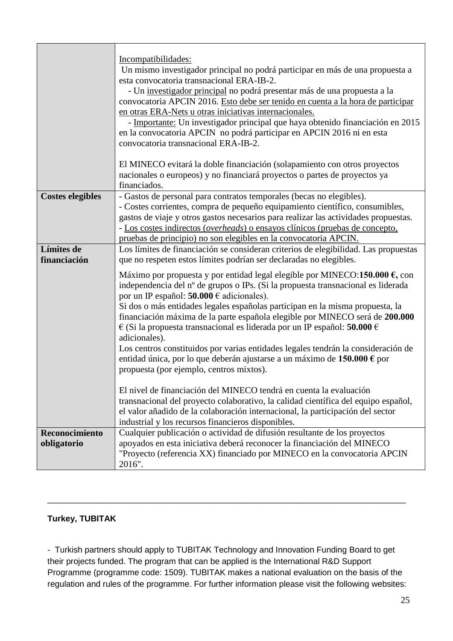|                         | Incompatibilidades:                                                                   |
|-------------------------|---------------------------------------------------------------------------------------|
|                         | Un mismo investigador principal no podrá participar en más de una propuesta a         |
|                         | esta convocatoria transnacional ERA-IB-2.                                             |
|                         | - Un investigador principal no podrá presentar más de una propuesta a la              |
|                         | convocatoria APCIN 2016. Esto debe ser tenido en cuenta a la hora de participar       |
|                         | en otras ERA-Nets u otras iniciativas internacionales.                                |
|                         | - Importante: Un investigador principal que haya obtenido financiación en 2015        |
|                         | en la convocatoria APCIN no podrá participar en APCIN 2016 ni en esta                 |
|                         | convocatoria transnacional ERA-IB-2.                                                  |
|                         | El MINECO evitará la doble financiación (solapamiento con otros proyectos             |
|                         | nacionales o europeos) y no financiará proyectos o partes de proyectos ya             |
|                         | financiados.                                                                          |
| <b>Costes elegibles</b> | - Gastos de personal para contratos temporales (becas no elegibles).                  |
|                         | - Costes corrientes, compra de pequeño equipamiento científico, consumibles,          |
|                         | gastos de viaje y otros gastos necesarios para realizar las actividades propuestas.   |
|                         | - Los costes indirectos (overheads) o ensayos clínicos (pruebas de concepto,          |
|                         | pruebas de principio) no son elegibles en la convocatoria APCIN.                      |
| Límites de              | Los límites de financiación se consideran criterios de elegibilidad. Las propuestas   |
| financiación            | que no respeten estos límites podrían ser declaradas no elegibles.                    |
|                         | Máximo por propuesta y por entidad legal elegible por MINECO:150.000 $\epsilon$ , con |
|                         | independencia del nº de grupos o IPs. (Si la propuesta transnacional es liderada      |
|                         | por un IP español: 50.000 $\in$ adicionales).                                         |
|                         | Si dos o más entidades legales españolas participan en la misma propuesta, la         |
|                         | financiación máxima de la parte española elegible por MINECO será de 200.000          |
|                         | € (Si la propuesta transnacional es liderada por un IP español: 50.000 €              |
|                         | adicionales).                                                                         |
|                         | Los centros constituidos por varias entidades legales tendrán la consideración de     |
|                         | entidad única, por lo que deberán ajustarse a un máximo de 150.000 € por              |
|                         | propuesta (por ejemplo, centros mixtos).                                              |
|                         |                                                                                       |
|                         | El nivel de financiación del MINECO tendrá en cuenta la evaluación                    |
|                         | transnacional del proyecto colaborativo, la calidad científica del equipo español,    |
|                         | el valor añadido de la colaboración internacional, la participación del sector        |
|                         | industrial y los recursos financieros disponibles.                                    |
| Reconocimiento          | Cualquier publicación o actividad de difusión resultante de los proyectos             |
| obligatorio             | apoyados en esta iniciativa deberá reconocer la financiación del MINECO               |
|                         | "Proyecto (referencia XX) financiado por MINECO en la convocatoria APCIN              |
|                         | 2016".                                                                                |

# **Turkey, TUBITAK**

- Turkish partners should apply to TUBITAK Technology and Innovation Funding Board to get their projects funded. The program that can be applied is the International R&D Support Programme (programme code: 1509). TUBITAK makes a national evaluation on the basis of the regulation and rules of the programme. For further information please visit the following websites:

\_\_\_\_\_\_\_\_\_\_\_\_\_\_\_\_\_\_\_\_\_\_\_\_\_\_\_\_\_\_\_\_\_\_\_\_\_\_\_\_\_\_\_\_\_\_\_\_\_\_\_\_\_\_\_\_\_\_\_\_\_\_\_\_\_\_\_\_\_\_\_\_\_\_\_\_\_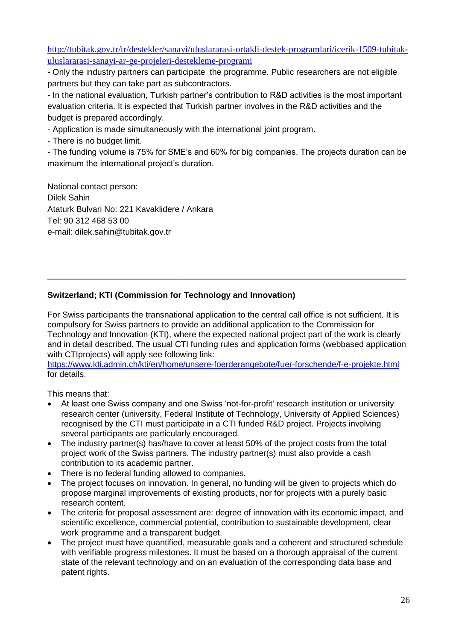[http://tubitak.gov.tr/tr/destekler/sanayi/uluslararasi-ortakli-destek-programlari/icerik-1509-tubitak](http://tubitak.gov.tr/tr/destekler/sanayi/uluslararasi-ortakli-destek-programlari/icerik-1509-tubitak-uluslararasi-sanayi-ar-ge-projeleri-destekleme-programi)[uluslararasi-sanayi-ar-ge-projeleri-destekleme-programi](http://tubitak.gov.tr/tr/destekler/sanayi/uluslararasi-ortakli-destek-programlari/icerik-1509-tubitak-uluslararasi-sanayi-ar-ge-projeleri-destekleme-programi)

- Only the industry partners can participate the programme. Public researchers are not eligible partners but they can take part as subcontractors.

- In the national evaluation, Turkish partner's contribution to R&D activities is the most important evaluation criteria. It is expected that Turkish partner involves in the R&D activities and the budget is prepared accordingly.

- Application is made simultaneously with the international joint program.

- There is no budget limit.

- The funding volume is 75% for SME's and 60% for big companies. The projects duration can be maximum the international project's duration.

National contact person: Dilek Sahin Ataturk Bulvari No: 221 Kavaklidere / Ankara Tel: 90 312 468 53 00 e-mail: dilek.sahin@tubitak.gov.tr

## **Switzerland; KTI (Commission for Technology and Innovation)**

For Swiss participants the transnational application to the central call office is not sufficient. It is compulsory for Swiss partners to provide an additional application to the Commission for Technology and Innovation (KTI), where the expected national project part of the work is clearly and in detail described. The usual CTI funding rules and application forms (webbased application with CTIprojects) will apply see following link:

\_\_\_\_\_\_\_\_\_\_\_\_\_\_\_\_\_\_\_\_\_\_\_\_\_\_\_\_\_\_\_\_\_\_\_\_\_\_\_\_\_\_\_\_\_\_\_\_\_\_\_\_\_\_\_\_\_\_\_\_\_\_\_\_\_\_\_\_\_\_\_\_\_\_\_\_\_

<https://www.kti.admin.ch/kti/en/home/unsere-foerderangebote/fuer-forschende/f-e-projekte.html> for details.

This means that:

- At least one Swiss company and one Swiss 'not-for-profit' research institution or university research center (university, Federal Institute of Technology, University of Applied Sciences) recognised by the CTI must participate in a CTI funded R&D project. Projects involving several participants are particularly encouraged.
- The industry partner(s) has/have to cover at least 50% of the project costs from the total project work of the Swiss partners. The industry partner(s) must also provide a cash contribution to its academic partner.
- There is no federal funding allowed to companies.
- The project focuses on innovation. In general, no funding will be given to projects which do propose marginal improvements of existing products, nor for projects with a purely basic research content.
- The criteria for proposal assessment are: degree of innovation with its economic impact, and scientific excellence, commercial potential, contribution to sustainable development, clear work programme and a transparent budget.
- The project must have quantified, measurable goals and a coherent and structured schedule with verifiable progress milestones. It must be based on a thorough appraisal of the current state of the relevant technology and on an evaluation of the corresponding data base and patent rights.